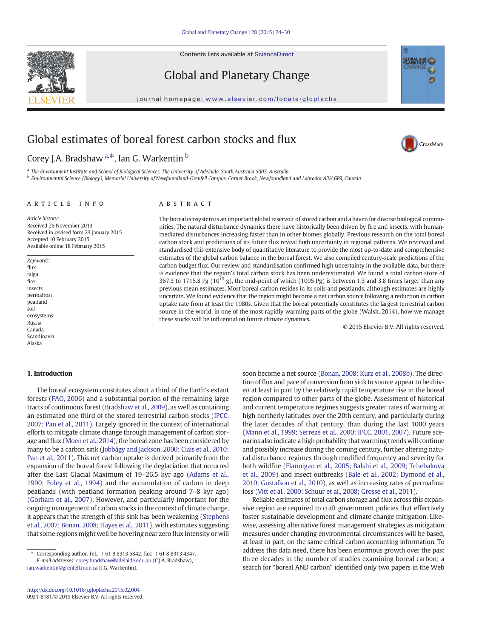Contents lists available at ScienceDirect



Global and Planetary Change

journal homepage: <www.elsevier.com/locate/gloplacha>

# Global estimates of boreal forest carbon stocks and flux

Corey J.A. Bradshaw <sup>a,\*</sup>, Ian G. Warkentin <sup>b</sup>

a The Environment Institute and School of Biological Sciences, The University of Adelaide, South Australia 5005, Australia

b Environmental Science (Biology), Memorial University of Newfoundland-Grenfell Campus, Corner Brook, Newfoundland and Labrador A2H 6P9, Canada

#### article info abstract

Available online 18 February 2015

Article history: Received 26 November 2013 Received in revised form 23 January 2015 Accepted 10 February 2015

Keywords: flux taiga fire insects permafrost peatland soil ecosystems Russia Canada Scandinavia Alaska

The boreal ecosystem is an important global reservoir of stored carbon and a haven for diverse biological communities. The natural disturbance dynamics there have historically been driven by fire and insects, with humanmediated disturbances increasing faster than in other biomes globally. Previous research on the total boreal carbon stock and predictions of its future flux reveal high uncertainty in regional patterns. We reviewed and standardised this extensive body of quantitative literature to provide the most up-to-date and comprehensive estimates of the global carbon balance in the boreal forest. We also compiled century-scale predictions of the carbon budget flux. Our review and standardisation confirmed high uncertainty in the available data, but there is evidence that the region's total carbon stock has been underestimated. We found a total carbon store of 367.3 to 1715.8 Pg ( $10^{15}$  g), the mid-point of which (1095 Pg) is between 1.3 and 3.8 times larger than any previous mean estimates. Most boreal carbon resides in its soils and peatlands, although estimates are highly uncertain. We found evidence that the region might become a net carbon source following a reduction in carbon uptake rate from at least the 1980s. Given that the boreal potentially constitutes the largest terrestrial carbon source in the world, in one of the most rapidly warming parts of the globe (Walsh, 2014), how we manage these stocks will be influential on future climate dynamics.

© 2015 Elsevier B.V. All rights reserved.

# 1. Introduction

The boreal ecosystem constitutes about a third of the Earth's extant forests [\(FAO, 2006\)](#page-5-0) and a substantial portion of the remaining large tracts of continuous forest [\(Bradshaw et al., 2009](#page-5-0)), as well as containing an estimated one third of the stored terrestrial carbon stocks [\(IPCC,](#page-6-0) [2007; Pan et al., 2011](#page-6-0)). Largely ignored in the context of international efforts to mitigate climate change through management of carbon storage and flux [\(Moen et al., 2014\)](#page-6-0), the boreal zone has been considered by many to be a carbon sink ([Jobbágy and Jackson, 2000; Ciais et al., 2010;](#page-6-0) [Pan et al., 2011](#page-6-0)). This net carbon uptake is derived primarily from the expansion of the boreal forest following the deglaciation that occurred after the Last Glacial Maximum of 19–26.5 kyr ago ([Adams et al.,](#page-5-0) [1990; Foley et al., 1994](#page-5-0)) and the accumulation of carbon in deep peatlands (with peatland formation peaking around 7–8 kyr ago) [\(Gorham et al., 2007](#page-5-0)). However, and particularly important for the ongoing management of carbon stocks in the context of climate change, it appears that the strength of this sink has been weakening [\(Stephens](#page-6-0) [et al., 2007; Bonan, 2008; Hayes et al., 2011\)](#page-6-0), with estimates suggesting that some regions might well be hovering near zero flux intensity or will

E-mail addresses: [corey.bradshaw@adelaide.edu.au](mailto:corey.bradshaw@adelaide.edu.au) (C.J.A. Bradshaw),

[ian.warkentin@grenfell.mun.ca](mailto:ian.warkentin@grenfell.mun.ca) (I.G. Warkentin).

soon become a net source [\(Bonan, 2008; Kurz et al., 2008b](#page-5-0)). The direction of flux and pace of conversion from sink to source appear to be driven at least in part by the relatively rapid temperature rise in the boreal region compared to other parts of the globe. Assessment of historical and current temperature regimes suggests greater rates of warming at high northerly latitudes over the 20th century, and particularly during the later decades of that century, than during the last 1000 years [\(Mann et al., 1999; Serreze et al., 2000; IPCC, 2001, 2007](#page-6-0)). Future scenarios also indicate a high probability that warming trends will continue and possibly increase during the coming century, further altering natural disturbance regimes through modified frequency and severity for both wildfire ([Flannigan et al., 2005; Balshi et al., 2009; Tchebakova](#page-5-0) [et al., 2009](#page-5-0)) and insect outbreaks [\(Bale et al., 2002; Dymond et al.,](#page-5-0) [2010; Gustafson et al., 2010](#page-5-0)), as well as increasing rates of permafrost loss ([Vitt et al., 2000; Schuur et al., 2008; Grosse et al., 2011\)](#page-6-0).

Reliable estimates of total carbon storage and flux across this expansive region are required to craft government policies that effectively foster sustainable development and climate change mitigation. Likewise, assessing alternative forest management strategies as mitigation measures under changing environmental circumstances will be based, at least in part, on the same critical carbon accounting information. To address this data need, there has been enormous growth over the past three decades in the number of studies examining boreal carbon; a search for "boreal AND carbon" identified only two papers in the Web



<sup>⁎</sup> Corresponding author. Tel.: +61 8 8313 5842; fax: +61 8 8313 4347.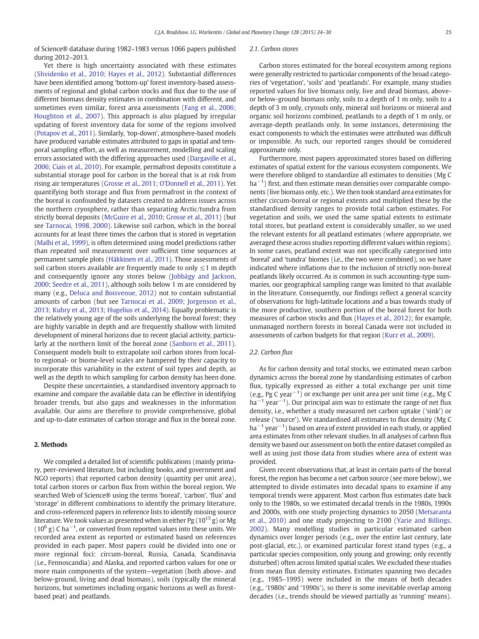of Science® database during 1982–1983 versus 1066 papers published during 2012–2013.

Yet there is high uncertainty associated with these estimates [\(Shvidenko et al., 2010; Hayes et al., 2012](#page-6-0)). Substantial differences have been identified among 'bottom-up' forest inventory-based assessments of regional and global carbon stocks and flux due to the use of different biomass density estimates in combination with different, and sometimes even similar, forest area assessments [\(Fang et al., 2006;](#page-5-0) [Houghton et al., 2007](#page-5-0)). This approach is also plagued by irregular updating of forest inventory data for some of the regions involved [\(Potapov et al., 2011](#page-6-0)). Similarly, 'top-down', atmosphere-based models have produced variable estimates attributed to gaps in spatial and temporal sampling effort, as well as measurement, modelling and scaling errors associated with the differing approaches used [\(Dargaville et al.,](#page-5-0) [2006; Ciais et al., 2010\)](#page-5-0). For example, permafrost deposits constitute a substantial storage pool for carbon in the boreal that is at risk from rising air temperatures [\(Grosse et al., 2011; O'Donnell et al., 2011\)](#page-5-0). Yet quantifying both storage and flux from permafrost in the context of the boreal is confounded by datasets created to address issues across the northern cryosphere, rather than separating Arctic/tundra from strictly boreal deposits ([McGuire et al., 2010; Grosse et al., 2011](#page-6-0)) (but see [Tarnocai, 1998, 2000](#page-6-0)). Likewise soil carbon, which in the boreal accounts for at least three times the carbon that is stored in vegetation [\(Malhi et al., 1999](#page-6-0)), is often determined using model predictions rather than repeated soil measurement over sufficient time sequences at permanent sample plots ([Häkkinen et al., 2011](#page-5-0)). Those assessments of soil carbon stores available are frequently made to only  $\leq$  1 m depth and consequently ignore any stores below [\(Jobbágy and Jackson,](#page-6-0) [2000; Seedre et al., 2011\)](#page-6-0), although soils below 1 m are considered by many (e.g., [Deluca and Boisvenue, 2012\)](#page-5-0) not to contain substantial amounts of carbon (but see [Tarnocai et al., 2009; Jorgenson et al.,](#page-6-0) [2013; Kuhry et al., 2013; Hugelius et al., 2014](#page-6-0)). Equally problematic is the relatively young age of the soils underlying the boreal forest; they are highly variable in depth and are frequently shallow with limited development of mineral horizons due to recent glacial activity, particularly at the northern limit of the boreal zone [\(Sanborn et al., 2011](#page-6-0)). Consequent models built to extrapolate soil carbon stores from localto regional- or biome-level scales are hampered by their capacity to incorporate this variability in the extent of soil types and depth, as well as the depth to which sampling for carbon density has been done.

Despite these uncertainties, a standardised inventory approach to examine and compare the available data can be effective in identifying broader trends, but also gaps and weaknesses in the information available. Our aims are therefore to provide comprehensive, global and up-to-date estimates of carbon storage and flux in the boreal zone.

## 2. Methods

We compiled a detailed list of scientific publications (mainly primary, peer-reviewed literature, but including books, and government and NGO reports) that reported carbon density (quantity per unit area), total carbon stores or carbon flux from within the boreal region. We searched Web of Science® using the terms 'boreal', 'carbon', 'flux' and 'storage' in different combinations to identify the primary literature, and cross-referenced papers in reference lists to identify missing source literature. We took values as presented when in either Pg  $(10^{15} \text{ g})$  or Mg ( $10^6$  g) C ha<sup>-1</sup>, or converted from reported values into these units. We recorded area extent as reported or estimated based on references provided in each paper. Most papers could be divided into one or more regional foci: circum-boreal, Russia, Canada, Scandinavia (i.e., Fennoscandia) and Alaska, and reported carbon values for one or more main components of the system—vegetation (both above- and below-ground, living and dead biomass), soils (typically the mineral horizons, but sometimes including organic horizons as well as forestbased peat) and peatlands.

# 2.1. Carbon stores

Carbon stores estimated for the boreal ecosystem among regions were generally restricted to particular components of the broad categories of 'vegetation', 'soils' and 'peatlands'. For example, many studies reported values for live biomass only, live and dead biomass, aboveor below-ground biomass only, soils to a depth of 1 m only, soils to a depth of 3 m only, cryosols only, mineral soil horizons or mineral and organic soil horizons combined, peatlands to a depth of 1 m only, or average-depth peatlands only. In some instances, determining the exact components to which the estimates were attributed was difficult or impossible. As such, our reported ranges should be considered approximate only.

Furthermore, most papers approximated stores based on differing estimates of spatial extent for the various ecosystem components. We were therefore obliged to standardize all estimates to densities (Mg C ha<sup>-1</sup>) first, and then estimate mean densities over comparable components (live biomass only, etc.). We then took standard area estimates for either circum-boreal or regional extents and multiplied these by the standardised density ranges to provide total carbon estimates. For vegetation and soils, we used the same spatial extents to estimate total stores, but peatland extent is considerably smaller, so we used the relevant extents for all peatland estimates (where appropriate, we averaged these across studies reporting different values within regions). In some cases, peatland extent was not specifically categorised into 'boreal' and 'tundra' biomes (i.e., the two were combined), so we have indicated where inflations due to the inclusion of strictly non-boreal peatlands likely occurred. As is common in such accounting-type summaries, our geographical sampling range was limited to that available in the literature. Consequently, our findings reflect a general scarcity of observations for high-latitude locations and a bias towards study of the more productive, southern portion of the boreal forest for both measures of carbon stocks and flux ([Hayes et al., 2012\)](#page-5-0); for example, unmanaged northern forests in boreal Canada were not included in assessments of carbon budgets for that region ([Kurz et al., 2009\)](#page-6-0).

### 2.2. Carbon flux

As for carbon density and total stocks, we estimated mean carbon dynamics across the boreal zone by standardising estimates of carbon flux, typically expressed as either a total exchange per unit time (e.g., Pg C year−<sup>1</sup> ) or exchange per unit area per unit time (e.g., Mg C ha<sup> $-1$ </sup> year $-1$ ). Our principal aim was to estimate the range of net flux density, i.e., whether a study measured net carbon uptake ('sink') or release ('source'). We standardised all estimates to flux density (Mg C ha<sup>-1</sup> year<sup>-1</sup>) based on area of extent provided in each study, or applied area estimates from other relevant studies. In all analyses of carbon flux density we based our assessment on both the entire dataset compiled as well as using just those data from studies where area of extent was provided.

Given recent observations that, at least in certain parts of the boreal forest, the region has become a net carbon source (see more below), we attempted to divide estimates into decadal spans to examine if any temporal trends were apparent. Most carbon flux estimates date back only to the 1980s, so we estimated decadal trends in the 1980s, 1990s and 2000s, with one study projecting dynamics to 2050 [\(Metsaranta](#page-6-0) [et al., 2010\)](#page-6-0) and one study projecting to 2100 ([Yarie and Billings,](#page-6-0) [2002\)](#page-6-0). Many modelling studies in particular estimated carbon dynamics over longer periods (e.g., over the entire last century, late post-glacial, etc.), or examined particular forest stand types (e.g., a particular species composition, only young and growing; only recently disturbed) often across limited spatial scales. We excluded these studies from mean flux density estimates. Estimates spanning two decades (e.g., 1985–1995) were included in the means of both decades (e.g., '1980s' and '1990s'), so there is some inevitable overlap among decades (i.e., trends should be viewed partially as 'running' means).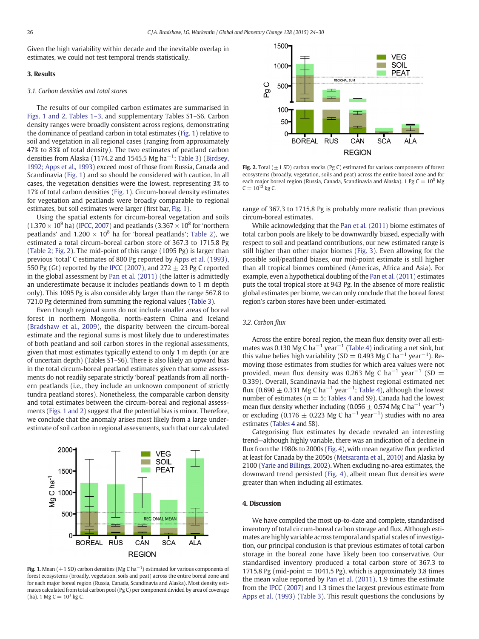Given the high variability within decade and the inevitable overlap in estimates, we could not test temporal trends statistically.

#### 3. Results

#### 3.1. Carbon densities and total stores

The results of our compiled carbon estimates are summarised in Figs. 1 and 2, [Tables 1](#page-3-0)–3, and supplementary Tables S1–S6. Carbon density ranges were broadly consistent across regions, demonstrating the dominance of peatland carbon in total estimates (Fig. 1) relative to soil and vegetation in all regional cases (ranging from approximately 47% to 83% of total density). The two estimates of peatland carbon densities from Alaska (1174.2 and 1545.5 Mg ha<sup>-1</sup>; [Table 3](#page-4-0)) [\(Birdsey,](#page-5-0) [1992; Apps et al., 1993\)](#page-5-0) exceed most of those from Russia, Canada and Scandinavia (Fig. 1) and so should be considered with caution. In all cases, the vegetation densities were the lowest, representing 3% to 17% of total carbon densities (Fig. 1). Circum-boreal density estimates for vegetation and peatlands were broadly comparable to regional estimates, but soil estimates were larger (first bar, Fig. 1).

Using the spatial extents for circum-boreal vegetation and soils  $(1.370 \times 10^9 \text{ ha})$  [\(IPCC, 2007\)](#page-6-0) and peatlands  $(3.367 \times 10^8 \text{ for 'nor}$ thern peatlands' and  $1.200 \times 10^8$  ha for 'boreal peatlands'; [Table 2](#page-4-0)), we estimated a total circum-boreal carbon store of 367.3 to 1715.8 Pg [\(Table 2;](#page-4-0) Fig. 2). The mid-point of this range (1095 Pg) is larger than previous 'total' C estimates of 800 Pg reported by [Apps et al. \(1993\),](#page-5-0) 550 Pg (Gt) reported by the [IPCC \(2007\),](#page-6-0) and 272  $\pm$  23 Pg C reported in the global assessment by [Pan et al. \(2011\)](#page-6-0) (the latter is admittedly an underestimate because it includes peatlands down to 1 m depth only). This 1095 Pg is also considerably larger than the range 567.8 to 721.0 Pg determined from summing the regional values [\(Table 3\)](#page-4-0).

Even though regional sums do not include smaller areas of boreal forest in northern Mongolia, north-eastern China and Iceland [\(Bradshaw et al., 2009\)](#page-5-0), the disparity between the circum-boreal estimate and the regional sums is most likely due to underestimates of both peatland and soil carbon stores in the regional assessments, given that most estimates typically extend to only 1 m depth (or are of uncertain depth) (Tables S1–S6). There is also likely an upward bias in the total circum-boreal peatland estimates given that some assessments do not readily separate strictly 'boreal' peatlands from all northern peatlands (i.e., they include an unknown component of strictly tundra peatland stores). Nonetheless, the comparable carbon density and total estimates between the circum-boreal and regional assessments (Figs. 1 and 2) suggest that the potential bias is minor. Therefore, we conclude that the anomaly arises most likely from a large underestimate of soil carbon in regional assessments, such that our calculated



**Fig. 1.** Mean ( $\pm$ 1 SD) carbon densities (Mg C ha<sup>-1</sup>) estimated for various components of forest ecosystems (broadly, vegetation, soils and peat) across the entire boreal zone and for each major boreal region (Russia, Canada, Scandinavia and Alaska). Most density estimates calculated from total carbon pool (Pg C) per component divided by area of coverage (ha), 1 Mg C =  $10^3$  kg C.



Fig. 2. Total  $(\pm 1$  SD) carbon stocks (Pg C) estimated for various components of forest ecosystems (broadly, vegetation, soils and peat) across the entire boreal zone and for each major boreal region (Russia, Canada, Scandinavia and Alaska). 1 Pg  $C = 10^9$  Mg  $C = 10^{12}$  kg C.

range of 367.3 to 1715.8 Pg is probably more realistic than previous circum-boreal estimates.

While acknowledging that the [Pan et al. \(2011\)](#page-6-0) biome estimates of total carbon pools are likely to be downwardly biased, especially with respect to soil and peatland contributions, our new estimated range is still higher than other major biomes [\(Fig. 3](#page-4-0)). Even allowing for the possible soil/peatland biases, our mid-point estimate is still higher than all tropical biomes combined (Americas, Africa and Asia). For example, even a hypothetical doubling of the [Pan et al. \(2011\)](#page-6-0) estimates puts the total tropical store at 943 Pg. In the absence of more realistic global estimates per biome, we can only conclude that the boreal forest region's carbon stores have been under-estimated.

# 3.2. Carbon flux

Across the entire boreal region, the mean flux density over all esti-mates was 0.130 Mg C ha<sup>-1</sup> year<sup>-1</sup> ([Table 4](#page-5-0)) indicating a net sink, but this value belies high variability (SD = 0.493 Mg C ha<sup>-1</sup> year<sup>-1</sup>). Removing those estimates from studies for which area values were not provided, mean flux density was 0.263 Mg C ha<sup>-1</sup> year<sup>-1</sup> (SD = 0.339). Overall, Scandinavia had the highest regional estimated net flux (0.690  $\pm$  0.331 Mg C ha<sup>-1</sup> year<sup>-1</sup>; [Table 4\)](#page-5-0), although the lowest number of estimates ( $n = 5$ ; [Tables 4](#page-5-0) and S9). Canada had the lowest mean flux density whether including (0.056  $\pm$  0.574 Mg C ha<sup>-1</sup> year<sup>-1</sup>) or excluding (0.176  $\pm$  0.223 Mg C ha<sup>-1</sup> year<sup>-1</sup>) studies with no area estimates [\(Tables 4](#page-5-0) and S8).

Categorising flux estimates by decade revealed an interesting trend—although highly variable, there was an indication of a decline in flux from the 1980s to 2000s [\(Fig. 4](#page-5-0)), with mean negative flux predicted at least for Canada by the 2050s ([Metsaranta et al., 2010\)](#page-6-0) and Alaska by 2100 [\(Yarie and Billings, 2002](#page-6-0)). When excluding no-area estimates, the downward trend persisted [\(Fig. 4](#page-5-0)), albeit mean flux densities were greater than when including all estimates.

# 4. Discussion

We have compiled the most up-to-date and complete, standardised inventory of total circum-boreal carbon storage and flux. Although estimates are highly variable across temporal and spatial scales of investigation, our principal conclusion is that previous estimates of total carbon storage in the boreal zone have likely been too conservative. Our standardised inventory produced a total carbon store of 367.3 to 1715.8 Pg (mid-point  $= 1041.5$  Pg), which is approximately 3.8 times the mean value reported by [Pan et al. \(2011\)](#page-6-0), 1.9 times the estimate from the [IPCC \(2007\)](#page-6-0) and 1.3 times the largest previous estimate from [Apps et al. \(1993\)](#page-5-0) [\(Table 3\)](#page-4-0). This result questions the conclusions by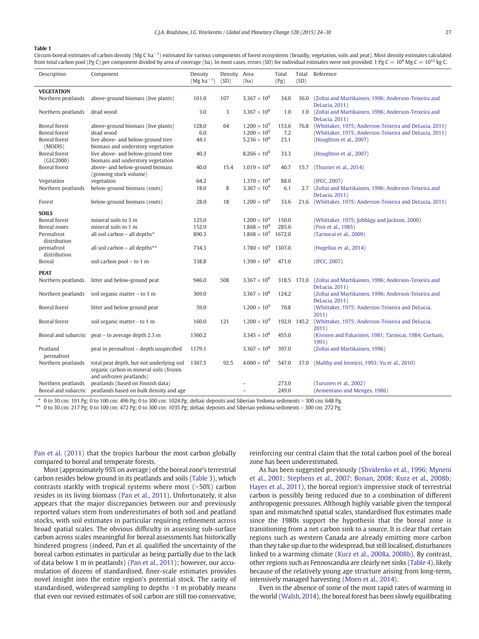#### <span id="page-3-0"></span>Table 1

Circum-boreal estimates of carbon density (Mg C ha<sup>-1</sup>) estimated for various components of forest ecosystems (broadly, vegetation, soils and peat). Most density estimates calculated from total carbon pool (Pg C) per component divided by area of coverage (ha). In most cases, errors (SD) for individual estimates were not provided. 1 Pg C =  $10^9$  Mg C =  $10^{12}$  kg C.

| Description                           | Component                                                                                                       | Density<br>$(Mg ha^{-1})$ | Density Area<br>(SD) | (ha)                                           | Total<br>(Pg) | Total<br>(SD) | Reference                                                                                                        |
|---------------------------------------|-----------------------------------------------------------------------------------------------------------------|---------------------------|----------------------|------------------------------------------------|---------------|---------------|------------------------------------------------------------------------------------------------------------------|
| <b>VEGETATION</b>                     |                                                                                                                 |                           |                      |                                                |               |               |                                                                                                                  |
| Northern peatlands                    | above-ground biomass (live plants)                                                                              | 101.0                     | 107                  | $3.367 \times 10^{8}$                          | 34.0          | 36.0          | (Zoltai and Martikainen, 1996; Anderson-Teixeira and<br>DeLucia, 2011)                                           |
| Northern peatlands                    | dead wood                                                                                                       | 3.0                       | 3                    | $3.367 \times 10^{8}$                          | 1.0           | 1.0           | (Zoltai and Martikainen, 1996; Anderson-Teixeira and<br>DeLucia, 2011)                                           |
| <b>Boreal</b> forest<br>Boreal forest | above-ground biomass (live plants)<br>dead wood                                                                 | 128.0<br>6.0              | 64                   | $1.200 \times 10^{9}$<br>$1.200 \times 10^{9}$ | 153.6<br>7.2  | 76.8          | (Whittaker, 1975; Anderson-Teixeira and DeLucia, 2011)<br>(Whittaker, 1975; Anderson-Teixeira and DeLucia, 2011) |
| Boreal forest<br>(MODIS)              | live above- and below-ground tree<br>biomass and understory vegetation                                          | 44.1                      |                      | $5.236 \times 10^{8}$                          | 23.1          |               | (Houghton et al., 2007)                                                                                          |
| <b>Boreal</b> forest<br>(GLC2000)     | live above- and below-ground tree<br>biomass and understory vegetation                                          | 40.3                      |                      | $8.266 \times 10^{8}$                          | 33.3          |               | (Houghton et al., 2007)                                                                                          |
| <b>Boreal</b> forest                  | above- and below-ground biomass<br>(growing stock volume)                                                       | 40.0                      | 15.4                 | $1.019 \times 10^{9}$                          | 40.7          | 15.7          | (Thurner et al., 2014)                                                                                           |
| Vegetation                            | vegetation                                                                                                      | 64.2                      |                      | $1.370 \times 10^{9}$                          | 88.0          |               | (IPCC, 2007)                                                                                                     |
| Northern peatlands                    | below-ground biomass (roots)                                                                                    | 18.0                      | 8                    | $3.367 \times 10^{8}$                          | 6.1           |               | 2.7 (Zoltai and Martikainen, 1996; Anderson-Teixeira and<br>DeLucia, 2011)                                       |
| Forest                                | below-ground biomass (roots)                                                                                    | 28.0                      | 18                   | $1.200 \times 10^{9}$                          | 33.6          | 21.6          | (Whittaker, 1975; Anderson-Teixeira and DeLucia, 2011)                                                           |
| <b>SOILS</b>                          |                                                                                                                 |                           |                      |                                                |               |               |                                                                                                                  |
| <b>Boreal</b> forest                  | mineral soils to 3 m                                                                                            | 125.0                     |                      | $1.200 \times 10^{9}$                          | 150.0         |               | (Whittaker, 1975; Jobbágy and Jackson, 2000)                                                                     |
| Boreal zones                          | mineral soils to 1 m                                                                                            | 152.9                     |                      | $1.868 \times 10^{9}$                          | 285.6         |               | (Post et al., 1985)                                                                                              |
| Permafrost<br>distribution            | all soil carbon - all depths*                                                                                   | 890.3                     |                      | $1.868 \times 10^{9}$                          | 1672.0        |               | (Tarnocai et al., 2009)                                                                                          |
| permafrost<br>distribution            | all soil carbon - all depths**                                                                                  | 734.3                     |                      | $1.780\times10^9$                              | 1307.0        |               | (Hugelius et al., 2014)                                                                                          |
| Boreal                                | soil carbon pool - to 1 m                                                                                       | 338.8                     |                      | $1.390 \times 10^{9}$                          | 471.0         |               | (IPCC, 2007)                                                                                                     |
| <b>PEAT</b>                           |                                                                                                                 |                           |                      | $3.367 \times 10^{8}$                          |               |               |                                                                                                                  |
| Northern peatlands                    | litter and below-ground peat                                                                                    | 946.0                     | 508                  |                                                |               | 318.5 171.0   | (Zoltai and Martikainen, 1996; Anderson-Teixeira and<br>DeLucia, 2011)                                           |
| Northern peatlands                    | soil organic matter - to 1 m                                                                                    | 369.0                     |                      | $3.367 \times 10^{8}$                          | 124.2         |               | (Zoltai and Martikainen, 1996; Anderson-Teixeira and<br>DeLucia, 2011)                                           |
| <b>Boreal</b> forest                  | litter and below ground peat                                                                                    | 59.0                      |                      | $1.200 \times 10^{9}$                          | 70.8          |               | (Whittaker, 1975; Anderson-Teixeira and DeLucia,<br>2011)                                                        |
| <b>Boreal</b> forest                  | soil organic matter - to 1 m                                                                                    | 160.0                     | 121                  | $1.200 \times 10^{9}$                          | 192.0         | 145.2         | (Whittaker, 1975; Anderson-Teixeira and DeLucia,<br>2011)                                                        |
|                                       | Boreal and subarctic peat – to average depth 2.3 m                                                              | 1360.2                    |                      | $3.345 \times 10^{8}$                          | 455.0         |               | (Kivinen and Pakarinen, 1981; Tarnocai, 1984; Gorham,<br>1991)                                                   |
| Peatland<br>permafrost                | peat in permafrost - depth unspecified                                                                          | 1179.1                    |                      | $3.367 \times 10^{8}$                          | 397.0         |               | (Zoltai and Martikainen, 1996)                                                                                   |
| Northern peatlands                    | total peat depth, but not underlying soil<br>organic carbon in mineral soils (frozen<br>and unfrozen peatlands) | 1367.5                    | 92.5                 | $4.000 \times 10^8$                            | 547.0         | 37.0          | (Maltby and Immirzi, 1993; Yu et al., 2010)                                                                      |
| Northern peatlands                    | peatlands (based on Finnish data)                                                                               |                           |                      |                                                | 273.0         |               | (Turunen et al., 2002)                                                                                           |
|                                       | Boreal and subarctic peatlands based on bulk density and age                                                    |                           |                      |                                                | 249.0         |               | (Armentano and Menges, 1986)                                                                                     |

 $*$  0 to 30 cm; 191 Pg; 0 to 100 cm; 496 Pg; 0 to 300 cm; 1024 Pg; deltaic deposits and Siberian Yedoma sediments  $>$  300 cm; 648 Pg.

\*\* 0 to 30 cm: 217 Pg; 0 to 100 cm: 472 Pg; 0 to 300 cm: 1035 Pg; deltaic deposits and Siberian yedoma sediments > 300 cm: 272 Pg.

[Pan et al. \(2011\)](#page-6-0) that the tropics harbour the most carbon globally compared to boreal and temperate forests.

Most (approximately 95% on average) of the boreal zone's terrestrial carbon resides below ground in its peatlands and soils [\(Table 3](#page-4-0)), which contrasts starkly with tropical systems where most  $(>50%)$  carbon resides in its living biomass ([Pan et al., 2011\)](#page-6-0). Unfortunately, it also appears that the major discrepancies between our and previously reported values stem from underestimates of both soil and peatland stocks, with soil estimates in particular requiring refinement across broad spatial scales. The obvious difficulty in assessing sub-surface carbon across scales meaningful for boreal assessments has historically hindered progress (indeed, Pan et al. qualified the uncertainty of the boreal carbon estimates in particular as being partially due to the lack of data below 1 m in peatlands) [\(Pan et al., 2011](#page-6-0)); however, our accumulation of dozens of standardised, finer-scale estimates provides novel insight into the entire region's potential stock. The rarity of standardised, widespread sampling to depths  $>1$  m probably means that even our revised estimates of soil carbon are still too conservative,

reinforcing our central claim that the total carbon pool of the boreal zone has been underestimated.

As has been suggested previously [\(Shvidenko et al., 1996; Myneni](#page-6-0) [et al., 2001; Stephens et al., 2007; Bonan, 2008; Kurz et al., 2008b;](#page-6-0) [Hayes et al., 2011\)](#page-6-0), the boreal region's impressive stock of terrestrial carbon is possibly being reduced due to a combination of different anthropogenic pressures. Although highly variable given the temporal span and mismatched spatial scales, standardised flux estimates made since the 1980s support the hypothesis that the boreal zone is transitioning from a net carbon sink to a source. It is clear that certain regions such as western Canada are already emitting more carbon than they take up due to the widespread, but still localised, disturbances linked to a warming climate ([Kurz et al., 2008a, 2008b\)](#page-6-0). By contrast, other regions such as Fennoscandia are clearly net sinks [\(Table 4](#page-5-0)), likely because of the relatively young age structure arising from long-term, intensively managed harvesting [\(Moen et al., 2014](#page-6-0)).

Even in the absence of some of the most rapid rates of warming in the world ([Walsh, 2014](#page-6-0)), the boreal forest has been slowly equilibrating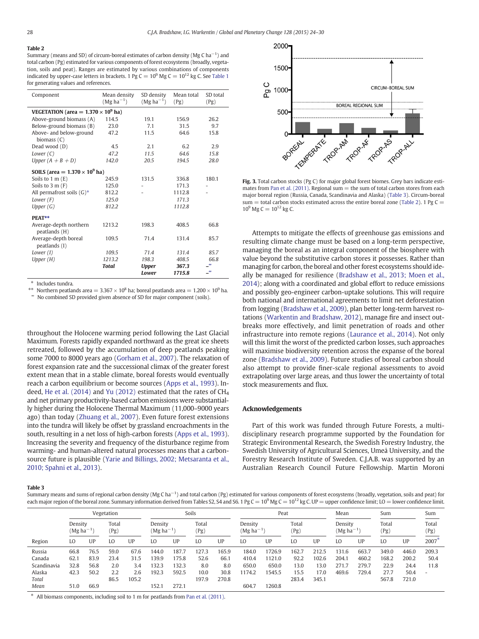## <span id="page-4-0"></span>Table 2

Summary (means and SD) of circum-boreal estimates of carbon density (Mg C ha $^{-1}$ ) and total carbon (Pg) estimated for various components of forest ecosystems (broadly, vegetation, soils and peat). Ranges are estimated by various combinations of components indicated by upper-case letters in brackets. 1 Pg  $C = 10^9$  Mg  $C = 10^{12}$  kg C. See [Table 1](#page-3-0) for generating values and references.

| Component                                  | Mean density<br>$(Mg ha^{-1})$ | SD density<br>$(Mg ha^{-1})$ | Mean total<br>(Pg) | SD total<br>(Pg) |  |  |  |  |  |
|--------------------------------------------|--------------------------------|------------------------------|--------------------|------------------|--|--|--|--|--|
| VEGETATION (area = $1.370 \times 10^9$ ha) |                                |                              |                    |                  |  |  |  |  |  |
| Above-ground biomass (A)                   | 114.5                          | 19.1                         | 156.9              | 26.2             |  |  |  |  |  |
| Below-ground biomass (B)                   | 23.0                           | 7.1                          | 31.5               | 9.7              |  |  |  |  |  |
| Above- and below-ground<br>biomass $(C)$   | 47.2                           | 11.5                         | 64.6               | 15.8             |  |  |  |  |  |
| Dead wood (D)                              | 4.5                            | 2.1                          | 6.2                | 2.9              |  |  |  |  |  |
| Lower $(C)$                                | 47.2                           | 11.5                         | 64.6               | 15.8             |  |  |  |  |  |
| Upper $(A + B + D)$                        | 142.0                          | 20.5                         | 194.5              | 28.0             |  |  |  |  |  |
| SOILS (area = $1.370 \times 10^9$ ha)      |                                |                              |                    |                  |  |  |  |  |  |
| Soils to $1 \text{ m} (E)$                 | 245.9                          | 131.5                        | 336.8              | 180.1            |  |  |  |  |  |
| Soils to $3 \text{ m}$ (F)                 | 125.0                          | ۰                            | 171.3              |                  |  |  |  |  |  |
| All permafrost soils $(G)^*$               | 812.2                          |                              | 1112.8             |                  |  |  |  |  |  |
| Lower $(F)$                                | 125.0                          |                              | 171.3              |                  |  |  |  |  |  |
| Upper $(G)$                                | 812.2                          |                              | 1112.8             |                  |  |  |  |  |  |
| PEAT**                                     |                                |                              |                    |                  |  |  |  |  |  |
| Average-depth northern<br>peatlands (H)    | 1213.2                         | 198.3                        | 408.5              | 66.8             |  |  |  |  |  |
| Average-depth boreal<br>peatlands (I)      | 109.5                          | 71.4                         | 131.4              | 85.7             |  |  |  |  |  |
| Lower (I)                                  | 109.5                          | 71.4                         | 131.4              | 85.7             |  |  |  |  |  |
| Upper $(H)$                                | 1213.2                         | 198.3                        | 408.5              | 66.8             |  |  |  |  |  |
|                                            | <b>Total</b>                   | <b>Upper</b>                 | 367.3              | $\infty$         |  |  |  |  |  |
|                                            |                                | Lower                        | 1715.8             | $\infty$         |  |  |  |  |  |

⁎ Includes tundra.

\*\* Northern peatlands area =  $3.367 \times 10^8$  ha; boreal peatlands area =  $1.200 \times 10^9$  ha. No combined SD provided given absence of SD for major component (soils).

throughout the Holocene warming period following the Last Glacial Maximum. Forests rapidly expanded northward as the great ice sheets retreated, followed by the accumulation of deep peatlands peaking some 7000 to 8000 years ago [\(Gorham et al., 2007](#page-5-0)). The relaxation of forest expansion rate and the successional climax of the greater forest extent mean that in a stable climate, boreal forests would eventually reach a carbon equilibrium or become sources ([Apps et al., 1993\)](#page-5-0). In-deed, [He et al. \(2014\)](#page-5-0) and [Yu \(2012\)](#page-6-0) estimated that the rates of  $CH<sub>4</sub>$ and net primary productivity-based carbon emissions were substantially higher during the Holocene Thermal Maximum (11,000–9000 years ago) than today [\(Zhuang et al., 2007\)](#page-6-0). Even future forest extensions into the tundra will likely be offset by grassland encroachments in the south, resulting in a net loss of high-carbon forests ([Apps et al., 1993\)](#page-5-0). Increasing the severity and frequency of the disturbance regime from warming- and human-altered natural processes means that a carbonsource future is plausible [\(Yarie and Billings, 2002; Metsaranta et al.,](#page-6-0) [2010; Spahni et al., 2013](#page-6-0)).



Fig. 3. Total carbon stocks (Pg C) for major global forest biomes. Grey bars indicate esti-mates from [Pan et al. \(2011\)](#page-6-0). Regional sum  $=$  the sum of total carbon stores from each major boreal region (Russia, Canada, Scandinavia and Alaska) (Table 3). Circum-boreal sum  $=$  total carbon stocks estimated across the entire boreal zone (Table 2), 1 Pg C  $=$  $10^9$  Mg C =  $10^{12}$  kg C.

Attempts to mitigate the effects of greenhouse gas emissions and resulting climate change must be based on a long-term perspective, managing the boreal as an integral component of the biosphere with value beyond the substitutive carbon stores it possesses. Rather than managing for carbon, the boreal and other forest ecosystems should ideally be managed for resilience ([Bradshaw et al., 2013; Moen et al.,](#page-5-0) [2014\)](#page-5-0); along with a coordinated and global effort to reduce emissions and possibly geo-engineer carbon-uptake solutions. This will require both national and international agreements to limit net deforestation from logging ([Bradshaw et al., 2009\)](#page-5-0), plan better long-term harvest rotations [\(Warkentin and Bradshaw, 2012](#page-6-0)), manage fire and insect outbreaks more effectively, and limit penetration of roads and other infrastructure into remote regions [\(Laurance et al., 2014\)](#page-6-0). Not only will this limit the worst of the predicted carbon losses, such approaches will maximise biodiversity retention across the expanse of the boreal zone [\(Bradshaw et al., 2009\)](#page-5-0). Future studies of boreal carbon should also attempt to provide finer-scale regional assessments to avoid extrapolating over large areas, and thus lower the uncertainty of total stock measurements and flux.

## Acknowledgements

Part of this work was funded through Future Forests, a multidisciplinary research programme supported by the Foundation for Strategic Environmental Research, the Swedish Forestry Industry, the Swedish University of Agricultural Sciences, Umeå University, and the Forestry Research Institute of Sweden. C.J.A.B. was supported by an Australian Research Council Future Fellowship. Martin Moroni

#### Table 3

Summary means and sums of regional carbon density (Mg C ha<sup>-1</sup>) and total carbon (Pg) estimated for various components of forest ecosystems (broadly, vegetation, soils and peat) for each major region of the boreal zone. Summary information derived from Tables S2, S4 and S6. 1 Pg C =  $10^9$  Mg C =  $10^{12}$  kg C. UP = upper confidence limit; LO = lower confidence limit.

| Vegetation  |                           |      | Soils         |       |                           | Peat  |               |       | Mean                      |        | Sum           |       | Sum                          |       |               |       |               |
|-------------|---------------------------|------|---------------|-------|---------------------------|-------|---------------|-------|---------------------------|--------|---------------|-------|------------------------------|-------|---------------|-------|---------------|
|             | Density<br>$(Mg ha^{-1})$ |      | Total<br>(Pg) |       | Density<br>$(Mg ha^{-1})$ |       | Total<br>(Pg) |       | Density<br>$(Mg ha^{-1})$ |        | Total<br>(Pg) |       | Density<br>$(Mg \, ha^{-1})$ |       | Total<br>(Pg) |       | Total<br>(Pg) |
| Region      | LO                        | UP   | LO            | UP    | LO                        | UP    | LO            | UP    | LO                        | UP     | LO            | UP    | LO                           | UP    | LO            | UP    | $2007*$       |
| Russia      | 66.8                      | 76.5 | 59.0          | 67.6  | 144.0                     | 187.7 | 127.3         | 65.9  | 184.0                     | 1726.9 | 162.7         | 212.5 | 131.6                        | 663.7 | 349.0         | 446.0 | 209.3         |
| Canada      | 62.1                      | 83.9 | 23.4          | 31.5  | 139.9                     | 175.8 | 52.6          | 66.1  | 410.4                     | 1121.0 | 92.2          | 102.6 | 204.1                        | 460.2 | 168.2         | 200.2 | 50.4          |
| Scandinavia | 32.8                      | 56.8 | 2.0           | 3.4   | 32.3                      | 132.3 | 8.0           | 8.0   | 650.0                     | 650.0  | 13.0          | 13.0  | 271.7                        | 279.7 | 22.9          | 24.4  | 11.8          |
| Alaska      | 42.3                      | 50.2 | 2.2           | 2.6   | 192.3                     | 592.5 | 10.0          | 30.8  | 1174.2                    | 1545.5 | 15.5          | 17.0  | 469.6                        | 729.4 | 27.7          | 50.4  |               |
| Total       |                           |      | 86.5          | 105.2 |                           |       | 197.9         | 270.8 |                           |        | 283.4         | 345.1 |                              |       | 567.8         | 721.0 |               |
| Mean        | 51.0                      | 66.9 |               |       | 152.1                     | 272.1 |               |       | 604.7                     | 1260.8 |               |       |                              |       |               |       |               |

All biomass components, including soil to 1 m for peatlands from [Pan et al. \(2011\).](#page-6-0)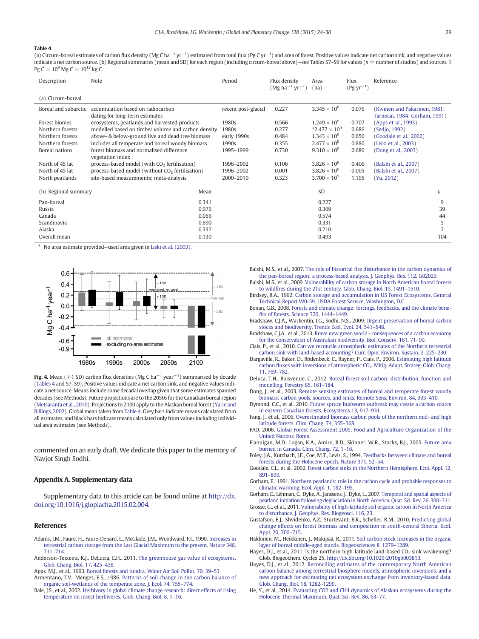#### <span id="page-5-0"></span>Table 4

(a) Circum-boreal estimates of carbon flux density (Mg C ha<sup>−1</sup> yr<sup>−1</sup>) estimated from total flux (Pg C yr<sup>−1</sup>) and area of forest. Positive values indicate net carbon sink, and negative values indicate a net carbon source. (b) Regional summaries (mean and SD) for each region (including circum-boreal above)—see Tables S7-S9 for values (n = number of studies) and sources. 1 Pg C =  $10^9$  Mg C =  $10^{12}$  kg C.

| Description          | Note                                                                | Period              | Flux density<br>$(Mg ha^{-1} yr^{-1})$ | Area<br>(ha)          | Flux<br>$(Pg yr^{-1})$ | Reference                                                      |
|----------------------|---------------------------------------------------------------------|---------------------|----------------------------------------|-----------------------|------------------------|----------------------------------------------------------------|
| (a) Circum-boreal    |                                                                     |                     |                                        |                       |                        |                                                                |
| Boreal and subarctic | accumulation based on radiocarbon<br>dating for long-term estimates | recent post-glacial | 0.227                                  | $3.345 \times 10^{8}$ | 0.076                  | (Kivinen and Pakarinen, 1981;<br>Tarnocai, 1984; Gorham, 1991) |
| Forest biomes        | ecosystems, peatlands and harvested products                        | 1980s               | 0.566                                  | $1.249 \times 10^{9}$ | 0.707                  | (Apps et al., 1993)                                            |
| Northern forests     | modelled based on timber volume and carbon density                  | 1980s               | 0.277                                  | $*2.477 \times 10^9$  | 0.686                  | (Sedjo, 1992)                                                  |
| Northern forests     | above- & below-ground live and dead tree biomass                    | early 1990s         | 0.484                                  | $1.343 \times 10^{9}$ | 0.650                  | (Goodale et al., 2002)                                         |
| Northern forests     | includes all temperate and boreal woody biomass                     | 1990s               | 0.355                                  | $2.477 \times 10^{9}$ | 0.880                  | (Liski et al., 2003)                                           |
| Boreal nations       | forest biomass and normalised difference                            | 1995-1999           | 0.730                                  | $9.310 \times 10^{9}$ | 0.680                  | (Dong et al., 2003)                                            |
|                      | vegetation index                                                    |                     |                                        |                       |                        |                                                                |
| North of 45 lat      | process-based model (with CO <sub>2</sub> fertilisation)            | 1996-2002           | 0.106                                  | $3.826 \times 10^{9}$ | 0.406                  | (Balshi et al., 2007)                                          |
| North of 45 lat      | process-based model (without CO <sub>2</sub> fertilisation)         | 1996-2002           | $-0.001$                               | $3.826 \times 10^{9}$ | $-0.005$               | (Balshi et al., 2007)                                          |
| North peatlands      | site-based measurements; meta-analysis                              | 2000-2010           | 0.323                                  | $3.700 \times 10^{9}$ | 1.195                  | (Yu, 2012)                                                     |
| (b) Regional summary | Mean                                                                |                     |                                        | <b>SD</b>             |                        | $\boldsymbol{n}$                                               |
| Pan-boreal           | 0.341                                                               |                     |                                        | 0.227                 |                        | 9                                                              |
| Russia               | 0.076                                                               |                     |                                        | 0.369                 |                        | 39                                                             |
| Canada               | 0.056                                                               |                     |                                        | 0.574                 |                        | 44                                                             |
| Scandinavia          | 0.690                                                               |                     |                                        | 0.331                 |                        | 5                                                              |
| Alaska               | 0.337                                                               |                     |                                        | 0.710                 |                        |                                                                |
| Overall mean         | 0.130                                                               |                     |                                        | 0.493                 |                        | 104                                                            |

⁎ No area estimate provided—used area given in [Liski et al. \(2003\).](#page-6-0)



**Fig. 4.** Mean ( $\pm$  1 SD) carbon flux densities (Mg C ha $^{-1}$  year $^{-1}$ ) summarised by decade (Tables 4 and S7–S9). Positive values indicate a net carbon sink, and negative values indicate a net source. Means include some decadal overlap given that some estimates spanned decades (see Methods). Future projections are to the 2050s for the Canadian boreal region [\(Metsaranta et al., 2010\)](#page-6-0). Projections to 2100 apply to the Alaskan boreal forest [\(Yarie and](#page-6-0) [Billings, 2002](#page-6-0)). Global mean taken from Table 4. Grey bars indicate means calculated from all estimates, and black bars indicate means calculated only from values including individual area estimates (see Methods).

commented on an early draft. We dedicate this paper to the memory of Navjot Singh Sodhi.

# Appendix A. Supplementary data

Supplementary data to this article can be found online at [http://dx.](http://dx.doi.org/10.1016/j.gloplacha.2015.02.004) [doi.org/10.1016/j.gloplacha.2015.02.004](http://dx.doi.org/10.1016/j.gloplacha.2015.02.004).

#### References

- Adams, J.M., Faure, H., Faure-Denard, L., McGlade, J.M., Woodward, F.I., 1990. [Increases in](http://refhub.elsevier.com/S0921-8181(15)00042-9/rf0005) [terrestrial carbon storage from the Last Glacial Maximum to the present. Nature 348,](http://refhub.elsevier.com/S0921-8181(15)00042-9/rf0005) [711](http://refhub.elsevier.com/S0921-8181(15)00042-9/rf0005)–714.
- Anderson-Teixeira, K.J., DeLucia, E.H., 2011. [The greenhouse gas value of ecosystems.](http://refhub.elsevier.com/S0921-8181(15)00042-9/rf0010) [Glob. Chang. Biol. 17, 425](http://refhub.elsevier.com/S0921-8181(15)00042-9/rf0010)–438.
- Apps, M.J., et al., 1993. [Boreal forests and tundra. Water Air Soil Pollut. 70, 39](http://refhub.elsevier.com/S0921-8181(15)00042-9/rf0015)–53. Armentano, T.V., Menges, E.S., 1986. [Patterns of soil change in the carbon balance of](http://refhub.elsevier.com/S0921-8181(15)00042-9/rf0020)
- [organic soil-wetlands of the temperate zone. J. Ecol. 74, 755](http://refhub.elsevier.com/S0921-8181(15)00042-9/rf0020)–774. Bale, J.S., et al., 2002. [Herbivory in global climate change research: direct effects of rising](http://refhub.elsevier.com/S0921-8181(15)00042-9/rf0025) [temperature on insect herbivores. Glob. Chang. Biol. 8, 1](http://refhub.elsevier.com/S0921-8181(15)00042-9/rf0025)–16.

Balshi, M.S., et al., 2007. The role of historical fi[re disturbance in the carbon dynamics of](http://refhub.elsevier.com/S0921-8181(15)00042-9/rf0035) [the pan-boreal region: a process-based analysis. J. Geophys. Res. 112, G02029.](http://refhub.elsevier.com/S0921-8181(15)00042-9/rf0035)

- Balshi, M.S., et al., 2009. [Vulnerability of carbon storage in North American boreal forests](http://refhub.elsevier.com/S0921-8181(15)00042-9/rf0030) to wildfi[res during the 21st century. Glob. Chang. Biol. 15, 1491](http://refhub.elsevier.com/S0921-8181(15)00042-9/rf0030)–1510.
- Birdsey, R.A., 1992. [Carbon storage and accumulation in US Forest Ecosystems. General](http://refhub.elsevier.com/S0921-8181(15)00042-9/rf0040) [Technical Report W0-59. USDA Forest Service, Washington, D.C.](http://refhub.elsevier.com/S0921-8181(15)00042-9/rf0040)
- Bonan, G.B., 2008. [Forests and climate change: forcings, feedbacks, and the climate bene](http://refhub.elsevier.com/S0921-8181(15)00042-9/rf0045)fi[ts of forests. Science 320, 1444](http://refhub.elsevier.com/S0921-8181(15)00042-9/rf0045)–1449.
- Bradshaw, C.J.A., Warkentin, I.G., Sodhi, N.S., 2009. [Urgent preservation of boreal carbon](http://refhub.elsevier.com/S0921-8181(15)00042-9/rf0055) [stocks and biodiversity. Trends Ecol. Evol. 24, 541](http://refhub.elsevier.com/S0921-8181(15)00042-9/rf0055)–548.
- Bradshaw, C.J.A., et al., 2013. Brave new green world—[consequences of a carbon economy](http://refhub.elsevier.com/S0921-8181(15)00042-9/rf0050) [for the conservation of Australian biodiversity. Biol. Conserv. 161, 71](http://refhub.elsevier.com/S0921-8181(15)00042-9/rf0050)–90.
- Ciais, P., et al., 2010. [Can we reconcile atmospheric estimates of the Northern terrestrial](http://refhub.elsevier.com/S0921-8181(15)00042-9/rf0060) [carbon sink with land-based accounting? Curr. Opin. Environ. Sustain. 2, 225](http://refhub.elsevier.com/S0921-8181(15)00042-9/rf0060)–230.
- Dargaville, R., Baker, D., Rödenbeck, C., Rayner, P., Ciais, P., 2006. [Estimating high latitude](http://refhub.elsevier.com/S0921-8181(15)00042-9/rf0065) carbon fluxes with inversions of atmospheric CO<sub>2</sub>. Mitig. Adapt. Strateg. Glob. Chang. [11, 769](http://refhub.elsevier.com/S0921-8181(15)00042-9/rf0065)–782.
- Deluca, T.H., Boisvenue, C., 2012. [Boreal forest soil carbon: distribution, function and](http://refhub.elsevier.com/S0921-8181(15)00042-9/rf0070) [modelling. Forestry 85, 161](http://refhub.elsevier.com/S0921-8181(15)00042-9/rf0070)–184.
- Dong, J., et al., 2003. [Remote sensing estimates of boreal and temperate forest woody](http://refhub.elsevier.com/S0921-8181(15)00042-9/rf0075) [biomass: carbon pools, sources, and sinks. Remote Sens. Environ. 84, 393](http://refhub.elsevier.com/S0921-8181(15)00042-9/rf0075)–410.
- Dymond, C.C., et al., 2010. [Future spruce budworm outbreak may create a carbon source](http://refhub.elsevier.com/S0921-8181(15)00042-9/rf0080) [in eastern Canadian forests. Ecosystems 13, 917](http://refhub.elsevier.com/S0921-8181(15)00042-9/rf0080)–931.
- Fang, J., et al., 2006. [Overestimated biomass carbon pools of the northern mid- and high](http://refhub.elsevier.com/S0921-8181(15)00042-9/rf0085) [latitude forests. Clim. Chang. 74, 355](http://refhub.elsevier.com/S0921-8181(15)00042-9/rf0085)–368.
- FAO, 2006. [Global Forest Assessment 2005. Food and Agriculture Organization of the](http://refhub.elsevier.com/S0921-8181(15)00042-9/rf0090) [United Nations, Rome.](http://refhub.elsevier.com/S0921-8181(15)00042-9/rf0090)
- Flannigan, M.D., Logan, K.A., Amiro, B.D., Skinner, W.R., Stocks, B.J., 2005. [Future area](http://refhub.elsevier.com/S0921-8181(15)00042-9/rf0095) [burned in Canada. Clim. Chang. 72, 1](http://refhub.elsevier.com/S0921-8181(15)00042-9/rf0095)–16.
- Foley, J.A., Kutzbach, J.E., Coe, M.T., Levis, S., 1994. [Feedbacks between climate and boreal](http://refhub.elsevier.com/S0921-8181(15)00042-9/rf0100) [forests during the Holocene epoch. Nature 371, 52](http://refhub.elsevier.com/S0921-8181(15)00042-9/rf0100)–54.
- Goodale, C.L., et al., 2002. [Forest carbon sinks in the Northern Hemisphere. Ecol. Appl. 12,](http://refhub.elsevier.com/S0921-8181(15)00042-9/rf0105) [891](http://refhub.elsevier.com/S0921-8181(15)00042-9/rf0105)–899.
- Gorham, E., 1991. [Northern peatlands: role in the carbon cycle and probable responses to](http://refhub.elsevier.com/S0921-8181(15)00042-9/rf0110) [climatic warming. Ecol. Appl. 1, 182](http://refhub.elsevier.com/S0921-8181(15)00042-9/rf0110)–195.
- Gorham, E., Lehman, C., Dyke, A., Janssens, J., Dyke, L., 2007. [Temporal and spatial aspects of](http://refhub.elsevier.com/S0921-8181(15)00042-9/rf0115) [peatland initiation following deglaciation in North America. Quat. Sci. Rev. 26, 300](http://refhub.elsevier.com/S0921-8181(15)00042-9/rf0115)–311.
- Grosse, G., et al., 2011. [Vulnerability of high-latitude soil organic carbon in North America](http://refhub.elsevier.com/S0921-8181(15)00042-9/rf0120) [to disturbance. J. Geophys. Res. Biogeosci. 116, 23](http://refhub.elsevier.com/S0921-8181(15)00042-9/rf0120).
- Gustafson, E.J., Shvidenko, A.Z., Sturtevant, B.R., Scheller, R.M., 2010. [Predicting global](http://refhub.elsevier.com/S0921-8181(15)00042-9/rf0125) [change effects on forest biomass and composition in south-central Siberia. Ecol.](http://refhub.elsevier.com/S0921-8181(15)00042-9/rf0125) [Appl. 20, 700](http://refhub.elsevier.com/S0921-8181(15)00042-9/rf0125)–715.
- Häkkinen, M., Heikkinen, J., Mäkipää, R., 2011. [Soil carbon stock increases in the organic](http://refhub.elsevier.com/S0921-8181(15)00042-9/rf0130) [layer of boreal middle-aged stands. Biogeosciences 8, 1279](http://refhub.elsevier.com/S0921-8181(15)00042-9/rf0130)–1289.
- Hayes, D.J., et al., 2011. Is the northern high-latitude land-based  $CO<sub>2</sub>$  sink weakening? Glob. Biogeochem. Cycles 25. http://dx.doi.org[/10.1029/2010gb003813.](http://dx.doi.org/10.1029/2010gb003813)
- Hayes, D.J., et al., 2012. [Reconciling estimates of the contemporary North American](http://refhub.elsevier.com/S0921-8181(15)00042-9/rf0140) [carbon balance among terrestrial biosphere models, atmospheric inversions, and a](http://refhub.elsevier.com/S0921-8181(15)00042-9/rf0140) [new approach for estimating net ecosystem exchange from inventory-based data.](http://refhub.elsevier.com/S0921-8181(15)00042-9/rf0140) [Glob. Chang. Biol. 18, 1282](http://refhub.elsevier.com/S0921-8181(15)00042-9/rf0140)–1299.
- He, Y., et al., 2014. [Evaluating CO2 and CH4 dynamics of Alaskan ecosystems during the](http://refhub.elsevier.com/S0921-8181(15)00042-9/rf0145) [Holocene Thermal Maximum. Quat. Sci. Rev. 86, 63](http://refhub.elsevier.com/S0921-8181(15)00042-9/rf0145)–77.